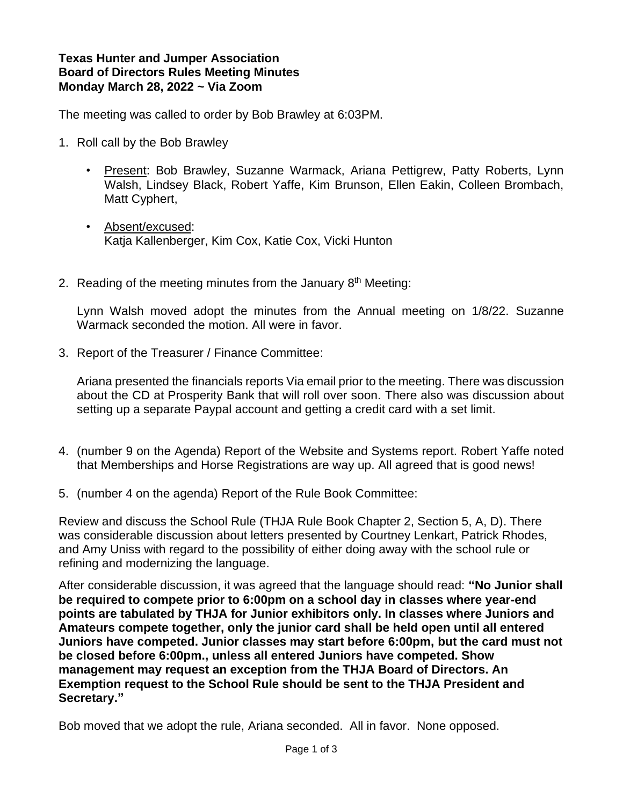## **Texas Hunter and Jumper Association Board of Directors Rules Meeting Minutes Monday March 28, 2022 ~ Via Zoom**

The meeting was called to order by Bob Brawley at 6:03PM.

- 1. Roll call by the Bob Brawley
	- Present: Bob Brawley, Suzanne Warmack, Ariana Pettigrew, Patty Roberts, Lynn Walsh, Lindsey Black, Robert Yaffe, Kim Brunson, Ellen Eakin, Colleen Brombach, Matt Cyphert,
	- Absent/excused: Katja Kallenberger, Kim Cox, Katie Cox, Vicki Hunton
- 2. Reading of the meeting minutes from the January  $8<sup>th</sup>$  Meeting:

Lynn Walsh moved adopt the minutes from the Annual meeting on 1/8/22. Suzanne Warmack seconded the motion. All were in favor.

3. Report of the Treasurer / Finance Committee:

Ariana presented the financials reports Via email prior to the meeting. There was discussion about the CD at Prosperity Bank that will roll over soon. There also was discussion about setting up a separate Paypal account and getting a credit card with a set limit.

- 4. (number 9 on the Agenda) Report of the Website and Systems report. Robert Yaffe noted that Memberships and Horse Registrations are way up. All agreed that is good news!
- 5. (number 4 on the agenda) Report of the Rule Book Committee:

Review and discuss the School Rule (THJA Rule Book Chapter 2, Section 5, A, D). There was considerable discussion about letters presented by Courtney Lenkart, Patrick Rhodes, and Amy Uniss with regard to the possibility of either doing away with the school rule or refining and modernizing the language.

After considerable discussion, it was agreed that the language should read: **"No Junior shall be required to compete prior to 6:00pm on a school day in classes where year-end points are tabulated by THJA for Junior exhibitors only. In classes where Juniors and Amateurs compete together, only the junior card shall be held open until all entered Juniors have competed. Junior classes may start before 6:00pm, but the card must not be closed before 6:00pm., unless all entered Juniors have competed. Show management may request an exception from the THJA Board of Directors. An Exemption request to the School Rule should be sent to the THJA President and Secretary."**

Bob moved that we adopt the rule, Ariana seconded. All in favor. None opposed.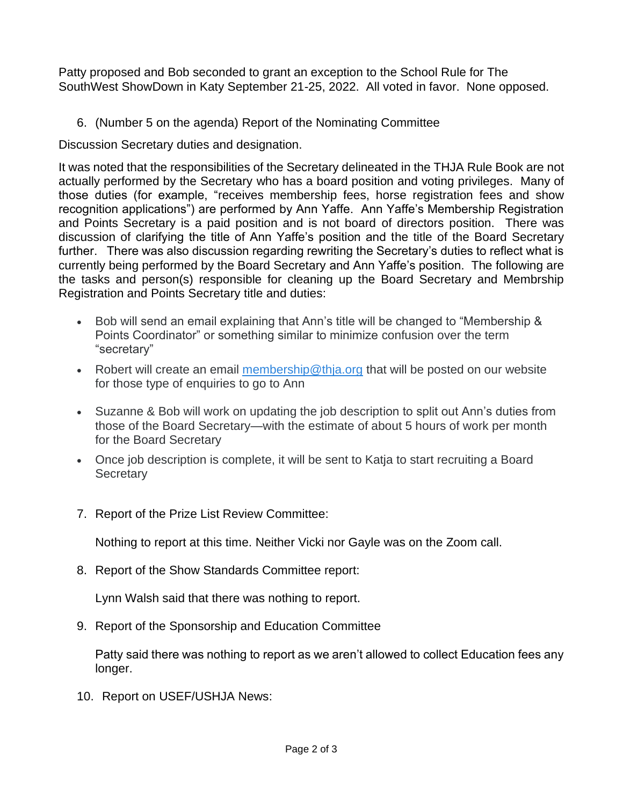Patty proposed and Bob seconded to grant an exception to the School Rule for The SouthWest ShowDown in Katy September 21-25, 2022. All voted in favor. None opposed.

6. (Number 5 on the agenda) Report of the Nominating Committee

Discussion Secretary duties and designation.

It was noted that the responsibilities of the Secretary delineated in the THJA Rule Book are not actually performed by the Secretary who has a board position and voting privileges. Many of those duties (for example, "receives membership fees, horse registration fees and show recognition applications") are performed by Ann Yaffe. Ann Yaffe's Membership Registration and Points Secretary is a paid position and is not board of directors position. There was discussion of clarifying the title of Ann Yaffe's position and the title of the Board Secretary further. There was also discussion regarding rewriting the Secretary's duties to reflect what is currently being performed by the Board Secretary and Ann Yaffe's position. The following are the tasks and person(s) responsible for cleaning up the Board Secretary and Membrship Registration and Points Secretary title and duties:

- Bob will send an email explaining that Ann's title will be changed to "Membership & Points Coordinator" or something similar to minimize confusion over the term "secretary"
- Robert will create an email [membership@thja.org](mailto:membership@thja.org) that will be posted on our website for those type of enquiries to go to Ann
- Suzanne & Bob will work on updating the job description to split out Ann's duties from those of the Board Secretary—with the estimate of about 5 hours of work per month for the Board Secretary
- Once job description is complete, it will be sent to Katja to start recruiting a Board **Secretary**
- 7. Report of the Prize List Review Committee:

Nothing to report at this time. Neither Vicki nor Gayle was on the Zoom call.

8. Report of the Show Standards Committee report:

Lynn Walsh said that there was nothing to report.

9. Report of the Sponsorship and Education Committee

Patty said there was nothing to report as we aren't allowed to collect Education fees any longer.

10. Report on USEF/USHJA News: